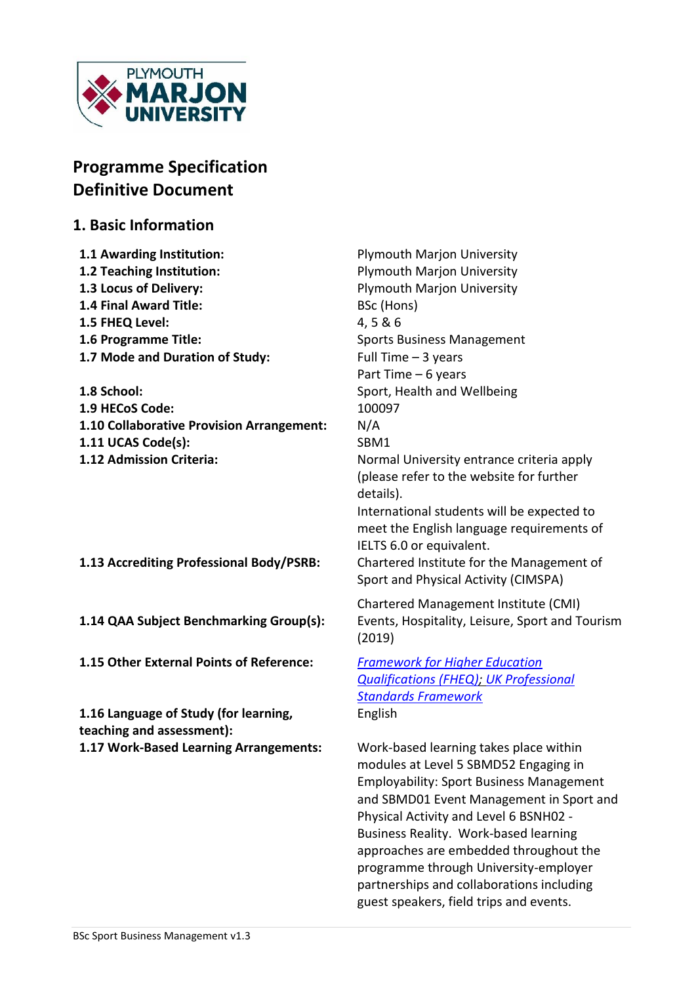

# **Programme Specification Definitive Document**

# **1. Basic Information**

| 1.1 Awarding Institution:                 | <b>Plymouth Marjon University</b>               |
|-------------------------------------------|-------------------------------------------------|
| 1.2 Teaching Institution:                 | <b>Plymouth Marjon University</b>               |
| 1.3 Locus of Delivery:                    | <b>Plymouth Marjon University</b>               |
| <b>1.4 Final Award Title:</b>             | BSc (Hons)                                      |
| 1.5 FHEQ Level:                           | 4,5&6                                           |
| 1.6 Programme Title:                      | <b>Sports Business Management</b>               |
| 1.7 Mode and Duration of Study:           | Full Time $-3$ years                            |
|                                           | Part Time - 6 years                             |
| 1.8 School:                               | Sport, Health and Wellbeing                     |
| 1.9 HECoS Code:                           | 100097                                          |
| 1.10 Collaborative Provision Arrangement: | N/A                                             |
| 1.11 UCAS Code(s):                        | SBM1                                            |
| 1.12 Admission Criteria:                  | Normal University entrance criteria apply       |
|                                           | (please refer to the website for further        |
|                                           | details).                                       |
|                                           | International students will be expected to      |
|                                           | meet the English language requirements of       |
|                                           | IELTS 6.0 or equivalent.                        |
| 1.13 Accrediting Professional Body/PSRB:  | Chartered Institute for the Management of       |
|                                           | Sport and Physical Activity (CIMSPA)            |
|                                           | Chartered Management Institute (CMI)            |
| 1.14 QAA Subject Benchmarking Group(s):   | Events, Hospitality, Leisure, Sport and Tourism |
|                                           | (2019)                                          |
|                                           |                                                 |
| 1.15 Other External Points of Reference:  | <b>Framework for Higher Education</b>           |
|                                           | <b>Qualifications (FHEQ); UK Professional</b>   |
|                                           | <b>Standards Framework</b>                      |
| 1.16 Language of Study (for learning,     | English                                         |
| teaching and assessment):                 |                                                 |
| 1.17 Work-Based Learning Arrangements:    | Work-based learning takes place within          |

modules at Level 5 SBMD52 Engaging in Employability: Sport Business Management and SBMD01 Event Management in Sport and Physical Activity and Level 6 BSNH02 - Business Reality. Work-based learning approaches are embedded throughout the programme through University-employer partnerships and collaborations including guest speakers, field trips and events.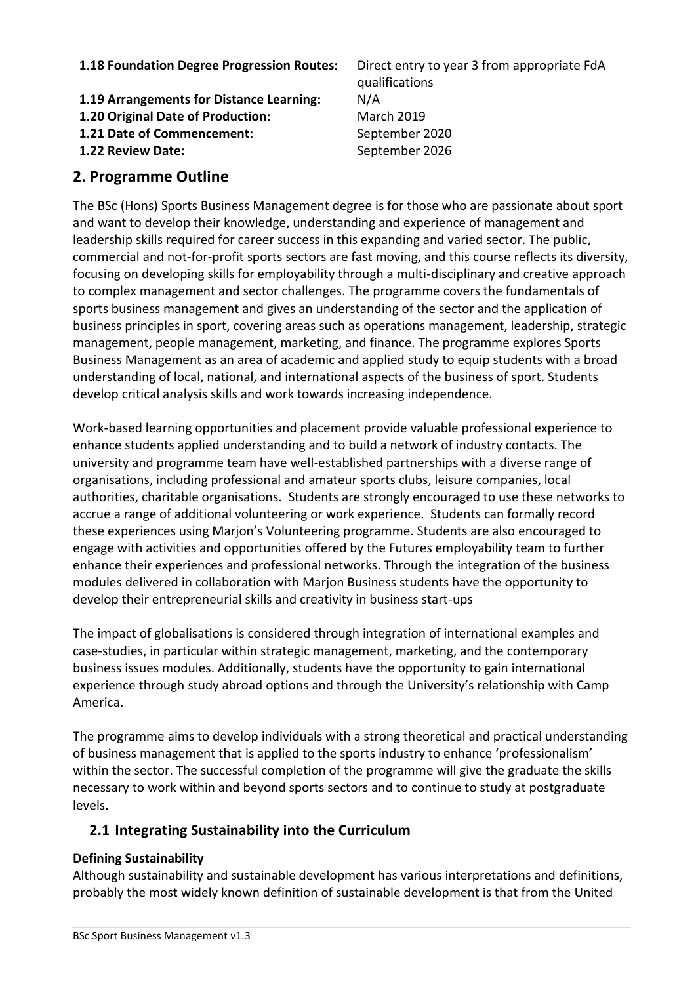#### **1.18 Foundation Degree Progression Routes:** Direct entry to year 3 from appropriate FdA

**1.19 Arrangements for Distance Learning:** N/A **1.20 Original Date of Production:** March 2019 **1.21 Date of Commencement:** September 2020

**1.22 Review Date:** September 2026

qualifications

#### **2. Programme Outline**

The BSc (Hons) Sports Business Management degree is for those who are passionate about sport and want to develop their knowledge, understanding and experience of management and leadership skills required for career success in this expanding and varied sector. The public, commercial and not-for-profit sports sectors are fast moving, and this course reflects its diversity, focusing on developing skills for employability through a multi-disciplinary and creative approach to complex management and sector challenges. The programme covers the fundamentals of sports business management and gives an understanding of the sector and the application of business principles in sport, covering areas such as operations management, leadership, strategic management, people management, marketing, and finance. The programme explores Sports Business Management as an area of academic and applied study to equip students with a broad understanding of local, national, and international aspects of the business of sport. Students develop critical analysis skills and work towards increasing independence.

Work-based learning opportunities and placement provide valuable professional experience to enhance students applied understanding and to build a network of industry contacts. The university and programme team have well-established partnerships with a diverse range of organisations, including professional and amateur sports clubs, leisure companies, local authorities, charitable organisations. Students are strongly encouraged to use these networks to accrue a range of additional volunteering or work experience. Students can formally record these experiences using Marjon's Volunteering programme. Students are also encouraged to engage with activities and opportunities offered by the Futures employability team to further enhance their experiences and professional networks. Through the integration of the business modules delivered in collaboration with Marjon Business students have the opportunity to develop their entrepreneurial skills and creativity in business start-ups

The impact of globalisations is considered through integration of international examples and case-studies, in particular within strategic management, marketing, and the contemporary business issues modules. Additionally, students have the opportunity to gain international experience through study abroad options and through the University's relationship with Camp America.

The programme aims to develop individuals with a strong theoretical and practical understanding of business management that is applied to the sports industry to enhance 'professionalism' within the sector. The successful completion of the programme will give the graduate the skills necessary to work within and beyond sports sectors and to continue to study at postgraduate levels.

### **2.1 Integrating Sustainability into the Curriculum**

#### **Defining Sustainability**

Although sustainability and sustainable development has various interpretations and definitions, probably the most widely known definition of sustainable development is that from the United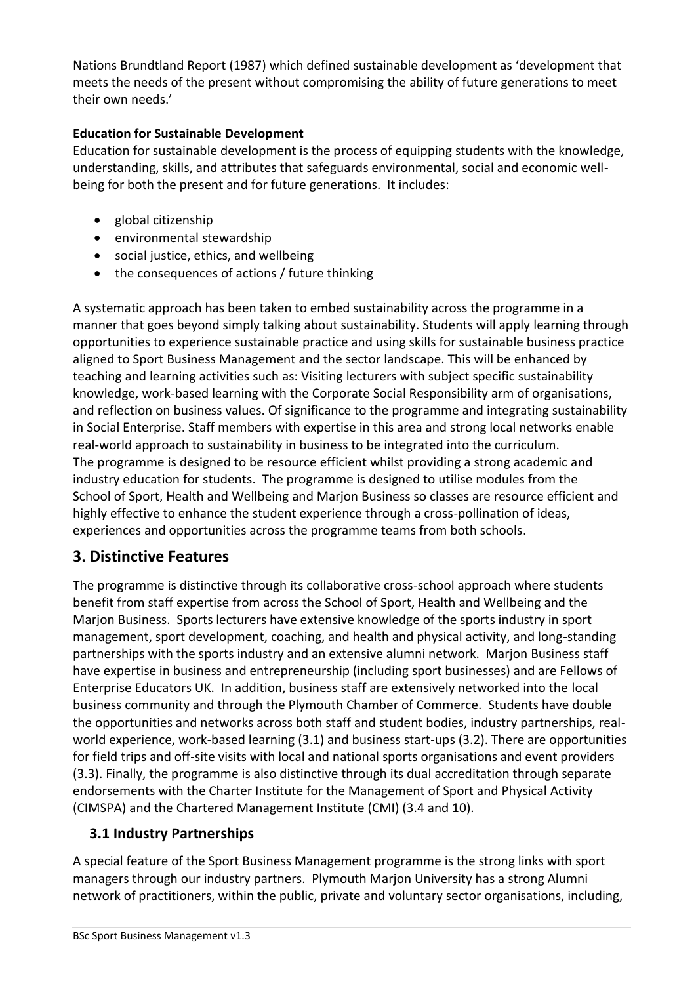Nations Brundtland Report (1987) which defined sustainable development as 'development that meets the needs of the present without compromising the ability of future generations to meet their own needs.'

#### **Education for Sustainable Development**

Education for sustainable development is the process of equipping students with the knowledge, understanding, skills, and attributes that safeguards environmental, social and economic wellbeing for both the present and for future generations. It includes:

- global citizenship
- environmental stewardship
- social justice, ethics, and wellbeing
- the consequences of actions / future thinking

A systematic approach has been taken to embed sustainability across the programme in a manner that goes beyond simply talking about sustainability. Students will apply learning through opportunities to experience sustainable practice and using skills for sustainable business practice aligned to Sport Business Management and the sector landscape. This will be enhanced by teaching and learning activities such as: Visiting lecturers with subject specific sustainability knowledge, work-based learning with the Corporate Social Responsibility arm of organisations, and reflection on business values. Of significance to the programme and integrating sustainability in Social Enterprise. Staff members with expertise in this area and strong local networks enable real-world approach to sustainability in business to be integrated into the curriculum. The programme is designed to be resource efficient whilst providing a strong academic and industry education for students. The programme is designed to utilise modules from the School of Sport, Health and Wellbeing and Marjon Business so classes are resource efficient and highly effective to enhance the student experience through a cross-pollination of ideas, experiences and opportunities across the programme teams from both schools.

# **3. Distinctive Features**

The programme is distinctive through its collaborative cross-school approach where students benefit from staff expertise from across the School of Sport, Health and Wellbeing and the Marjon Business. Sports lecturers have extensive knowledge of the sports industry in sport management, sport development, coaching, and health and physical activity, and long-standing partnerships with the sports industry and an extensive alumni network. Marjon Business staff have expertise in business and entrepreneurship (including sport businesses) and are Fellows of Enterprise Educators UK. In addition, business staff are extensively networked into the local business community and through the Plymouth Chamber of Commerce. Students have double the opportunities and networks across both staff and student bodies, industry partnerships, realworld experience, work-based learning (3.1) and business start-ups (3.2). There are opportunities for field trips and off-site visits with local and national sports organisations and event providers (3.3). Finally, the programme is also distinctive through its dual accreditation through separate endorsements with the Charter Institute for the Management of Sport and Physical Activity (CIMSPA) and the Chartered Management Institute (CMI) (3.4 and 10).

# **3.1 Industry Partnerships**

A special feature of the Sport Business Management programme is the strong links with sport managers through our industry partners. Plymouth Marjon University has a strong Alumni network of practitioners, within the public, private and voluntary sector organisations, including,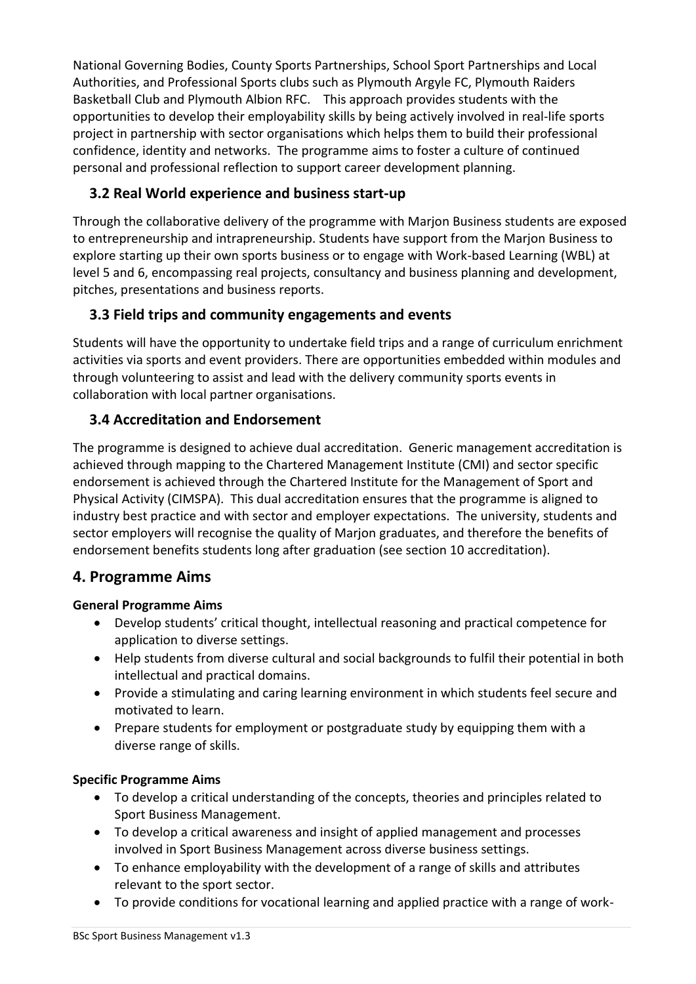National Governing Bodies, County Sports Partnerships, School Sport Partnerships and Local Authorities, and Professional Sports clubs such as Plymouth Argyle FC, Plymouth Raiders Basketball Club and Plymouth Albion RFC. This approach provides students with the opportunities to develop their employability skills by being actively involved in real-life sports project in partnership with sector organisations which helps them to build their professional confidence, identity and networks. The programme aims to foster a culture of continued personal and professional reflection to support career development planning.

# **3.2 Real World experience and business start-up**

Through the collaborative delivery of the programme with Marjon Business students are exposed to entrepreneurship and intrapreneurship. Students have support from the Marjon Business to explore starting up their own sports business or to engage with Work-based Learning (WBL) at level 5 and 6, encompassing real projects, consultancy and business planning and development, pitches, presentations and business reports.

# **3.3 Field trips and community engagements and events**

Students will have the opportunity to undertake field trips and a range of curriculum enrichment activities via sports and event providers. There are opportunities embedded within modules and through volunteering to assist and lead with the delivery community sports events in collaboration with local partner organisations.

# **3.4 Accreditation and Endorsement**

The programme is designed to achieve dual accreditation. Generic management accreditation is achieved through mapping to the Chartered Management Institute (CMI) and sector specific endorsement is achieved through the Chartered Institute for the Management of Sport and Physical Activity (CIMSPA). This dual accreditation ensures that the programme is aligned to industry best practice and with sector and employer expectations. The university, students and sector employers will recognise the quality of Marjon graduates, and therefore the benefits of endorsement benefits students long after graduation (see section 10 accreditation).

### **4. Programme Aims**

#### **General Programme Aims**

- Develop students' critical thought, intellectual reasoning and practical competence for application to diverse settings.
- Help students from diverse cultural and social backgrounds to fulfil their potential in both intellectual and practical domains.
- Provide a stimulating and caring learning environment in which students feel secure and motivated to learn.
- Prepare students for employment or postgraduate study by equipping them with a diverse range of skills.

#### **Specific Programme Aims**

- To develop a critical understanding of the concepts, theories and principles related to Sport Business Management.
- To develop a critical awareness and insight of applied management and processes involved in Sport Business Management across diverse business settings.
- To enhance employability with the development of a range of skills and attributes relevant to the sport sector.
- To provide conditions for vocational learning and applied practice with a range of work-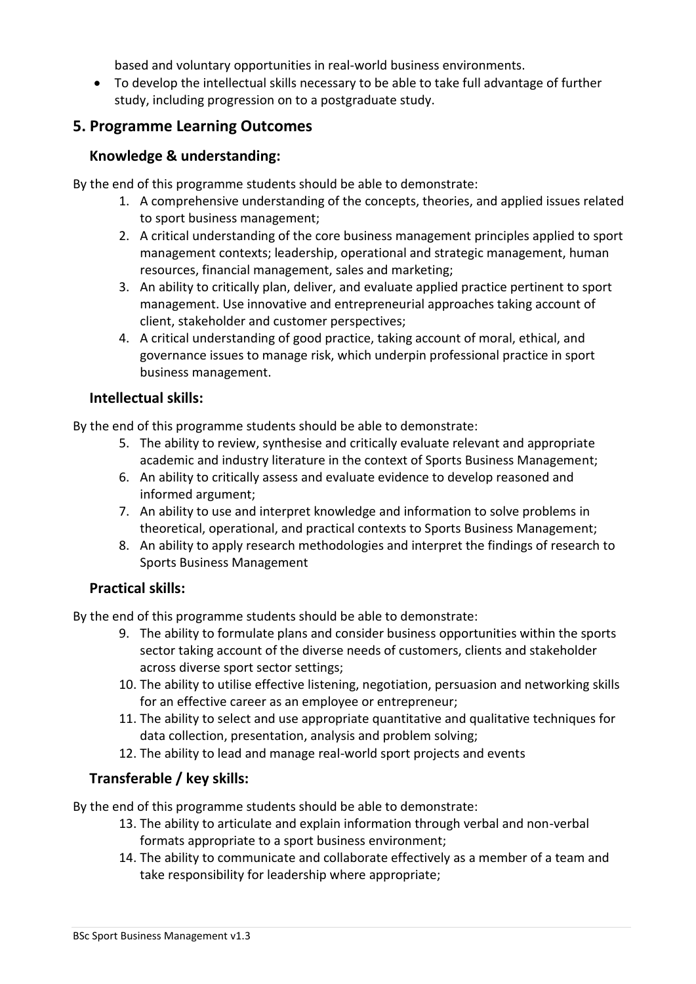based and voluntary opportunities in real-world business environments.

• To develop the intellectual skills necessary to be able to take full advantage of further study, including progression on to a postgraduate study.

# **5. Programme Learning Outcomes**

#### **Knowledge & understanding:**

By the end of this programme students should be able to demonstrate:

- 1. A comprehensive understanding of the concepts, theories, and applied issues related to sport business management;
- 2. A critical understanding of the core business management principles applied to sport management contexts; leadership, operational and strategic management, human resources, financial management, sales and marketing;
- 3. An ability to critically plan, deliver, and evaluate applied practice pertinent to sport management. Use innovative and entrepreneurial approaches taking account of client, stakeholder and customer perspectives;
- 4. A critical understanding of good practice, taking account of moral, ethical, and governance issues to manage risk, which underpin professional practice in sport business management.

#### **Intellectual skills:**

By the end of this programme students should be able to demonstrate:

- 5. The ability to review, synthesise and critically evaluate relevant and appropriate academic and industry literature in the context of Sports Business Management;
- 6. An ability to critically assess and evaluate evidence to develop reasoned and informed argument;
- 7. An ability to use and interpret knowledge and information to solve problems in theoretical, operational, and practical contexts to Sports Business Management;
- 8. An ability to apply research methodologies and interpret the findings of research to Sports Business Management

### **Practical skills:**

By the end of this programme students should be able to demonstrate:

- 9. The ability to formulate plans and consider business opportunities within the sports sector taking account of the diverse needs of customers, clients and stakeholder across diverse sport sector settings;
- 10. The ability to utilise effective listening, negotiation, persuasion and networking skills for an effective career as an employee or entrepreneur;
- 11. The ability to select and use appropriate quantitative and qualitative techniques for data collection, presentation, analysis and problem solving;
- 12. The ability to lead and manage real-world sport projects and events

### **Transferable / key skills:**

By the end of this programme students should be able to demonstrate:

- 13. The ability to articulate and explain information through verbal and non-verbal formats appropriate to a sport business environment;
- 14. The ability to communicate and collaborate effectively as a member of a team and take responsibility for leadership where appropriate;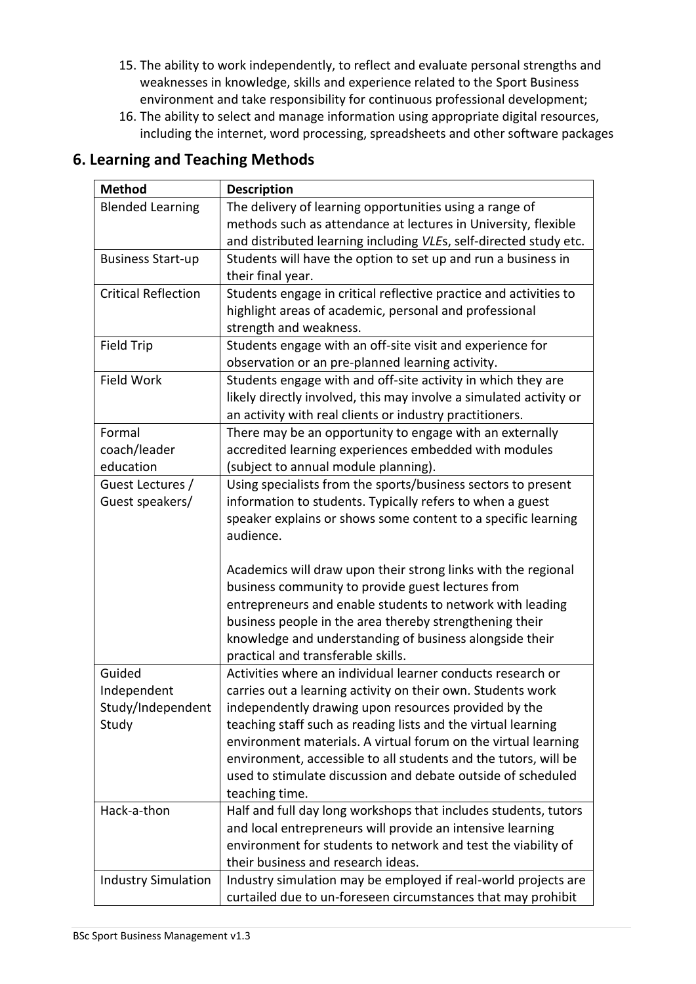- 15. The ability to work independently, to reflect and evaluate personal strengths and weaknesses in knowledge, skills and experience related to the Sport Business environment and take responsibility for continuous professional development;
- 16. The ability to select and manage information using appropriate digital resources, including the internet, word processing, spreadsheets and other software packages

| <b>Method</b>              | <b>Description</b>                                                                                                    |
|----------------------------|-----------------------------------------------------------------------------------------------------------------------|
| <b>Blended Learning</b>    | The delivery of learning opportunities using a range of                                                               |
|                            | methods such as attendance at lectures in University, flexible                                                        |
|                            | and distributed learning including VLEs, self-directed study etc.                                                     |
| <b>Business Start-up</b>   | Students will have the option to set up and run a business in                                                         |
|                            | their final year.                                                                                                     |
| <b>Critical Reflection</b> | Students engage in critical reflective practice and activities to                                                     |
|                            | highlight areas of academic, personal and professional                                                                |
|                            | strength and weakness.                                                                                                |
| <b>Field Trip</b>          | Students engage with an off-site visit and experience for                                                             |
|                            | observation or an pre-planned learning activity.                                                                      |
| Field Work                 | Students engage with and off-site activity in which they are                                                          |
|                            | likely directly involved, this may involve a simulated activity or                                                    |
|                            | an activity with real clients or industry practitioners.                                                              |
| Formal                     | There may be an opportunity to engage with an externally                                                              |
| coach/leader               | accredited learning experiences embedded with modules                                                                 |
| education                  | (subject to annual module planning).                                                                                  |
| Guest Lectures /           | Using specialists from the sports/business sectors to present                                                         |
| Guest speakers/            | information to students. Typically refers to when a guest                                                             |
|                            | speaker explains or shows some content to a specific learning                                                         |
|                            | audience.                                                                                                             |
|                            |                                                                                                                       |
|                            | Academics will draw upon their strong links with the regional                                                         |
|                            | business community to provide guest lectures from                                                                     |
|                            | entrepreneurs and enable students to network with leading                                                             |
|                            | business people in the area thereby strengthening their                                                               |
|                            | knowledge and understanding of business alongside their                                                               |
|                            | practical and transferable skills.                                                                                    |
| Guided                     | Activities where an individual learner conducts research or                                                           |
| Independent                | carries out a learning activity on their own. Students work                                                           |
| Study/Independent          | independently drawing upon resources provided by the<br>teaching staff such as reading lists and the virtual learning |
| Study                      | environment materials. A virtual forum on the virtual learning                                                        |
|                            | environment, accessible to all students and the tutors, will be                                                       |
|                            | used to stimulate discussion and debate outside of scheduled                                                          |
|                            | teaching time.                                                                                                        |
| Hack-a-thon                | Half and full day long workshops that includes students, tutors                                                       |
|                            | and local entrepreneurs will provide an intensive learning                                                            |
|                            | environment for students to network and test the viability of                                                         |
|                            | their business and research ideas.                                                                                    |
| <b>Industry Simulation</b> | Industry simulation may be employed if real-world projects are                                                        |
|                            | curtailed due to un-foreseen circumstances that may prohibit                                                          |

#### **6. Learning and Teaching Methods**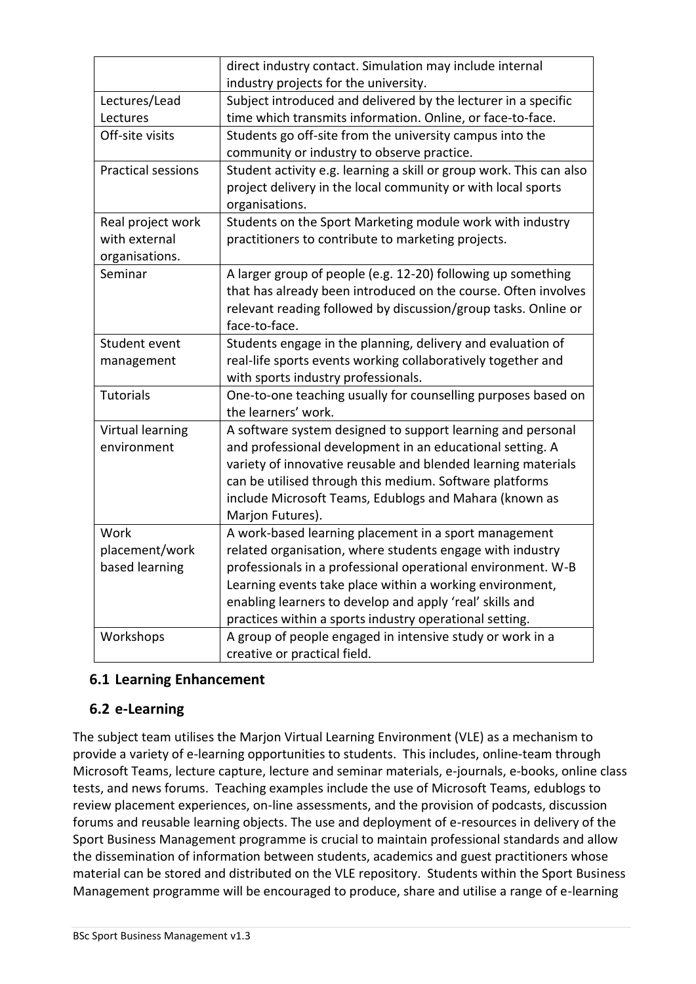|                           | direct industry contact. Simulation may include internal            |
|---------------------------|---------------------------------------------------------------------|
|                           | industry projects for the university.                               |
| Lectures/Lead             | Subject introduced and delivered by the lecturer in a specific      |
| Lectures                  | time which transmits information. Online, or face-to-face.          |
| Off-site visits           | Students go off-site from the university campus into the            |
|                           | community or industry to observe practice.                          |
| <b>Practical sessions</b> | Student activity e.g. learning a skill or group work. This can also |
|                           | project delivery in the local community or with local sports        |
|                           | organisations.                                                      |
| Real project work         | Students on the Sport Marketing module work with industry           |
| with external             | practitioners to contribute to marketing projects.                  |
| organisations.            |                                                                     |
| Seminar                   | A larger group of people (e.g. 12-20) following up something        |
|                           | that has already been introduced on the course. Often involves      |
|                           | relevant reading followed by discussion/group tasks. Online or      |
|                           | face-to-face.                                                       |
| Student event             | Students engage in the planning, delivery and evaluation of         |
| management                | real-life sports events working collaboratively together and        |
|                           | with sports industry professionals.                                 |
| <b>Tutorials</b>          | One-to-one teaching usually for counselling purposes based on       |
|                           | the learners' work.                                                 |
| Virtual learning          | A software system designed to support learning and personal         |
| environment               | and professional development in an educational setting. A           |
|                           | variety of innovative reusable and blended learning materials       |
|                           | can be utilised through this medium. Software platforms             |
|                           | include Microsoft Teams, Edublogs and Mahara (known as              |
|                           | Marjon Futures).                                                    |
| Work                      | A work-based learning placement in a sport management               |
| placement/work            | related organisation, where students engage with industry           |
| based learning            | professionals in a professional operational environment. W-B        |
|                           | Learning events take place within a working environment,            |
|                           | enabling learners to develop and apply 'real' skills and            |
|                           | practices within a sports industry operational setting.             |
| Workshops                 | A group of people engaged in intensive study or work in a           |
|                           | creative or practical field.                                        |

### **6.1 Learning Enhancement**

#### **6.2 e-Learning**

The subject team utilises the Marjon Virtual Learning Environment (VLE) as a mechanism to provide a variety of e-learning opportunities to students. This includes, online-team through Microsoft Teams, lecture capture, lecture and seminar materials, e-journals, e-books, online class tests, and news forums. Teaching examples include the use of Microsoft Teams, edublogs to review placement experiences, on-line assessments, and the provision of podcasts, discussion forums and reusable learning objects. The use and deployment of e-resources in delivery of the Sport Business Management programme is crucial to maintain professional standards and allow the dissemination of information between students, academics and guest practitioners whose material can be stored and distributed on the VLE repository. Students within the Sport Business Management programme will be encouraged to produce, share and utilise a range of e-learning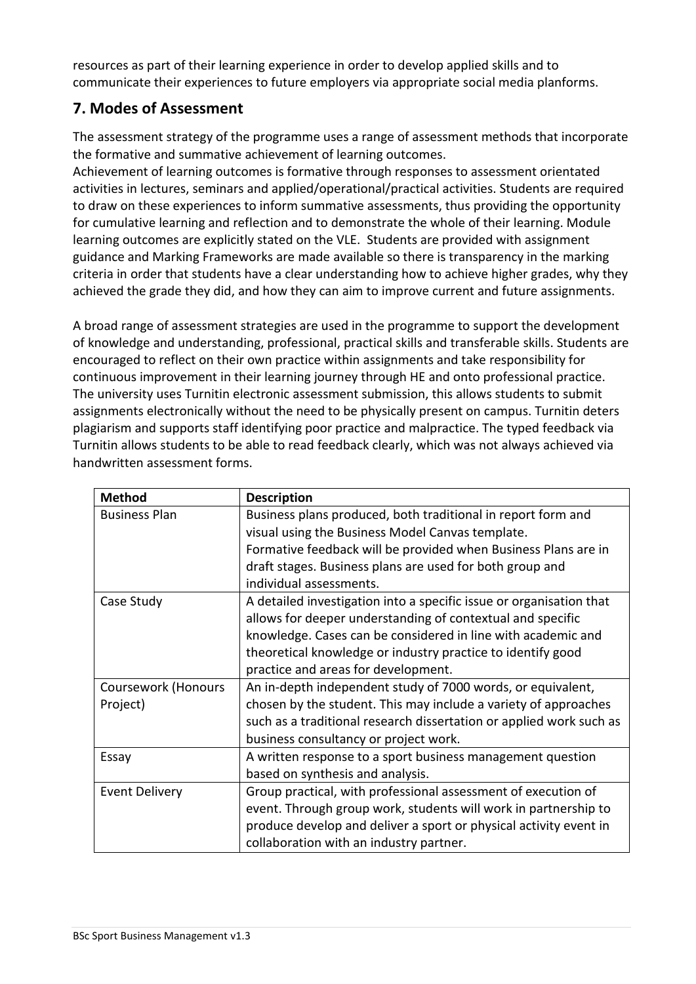resources as part of their learning experience in order to develop applied skills and to communicate their experiences to future employers via appropriate social media planforms.

# **7. Modes of Assessment**

The assessment strategy of the programme uses a range of assessment methods that incorporate the formative and summative achievement of learning outcomes.

Achievement of learning outcomes is formative through responses to assessment orientated activities in lectures, seminars and applied/operational/practical activities. Students are required to draw on these experiences to inform summative assessments, thus providing the opportunity for cumulative learning and reflection and to demonstrate the whole of their learning. Module learning outcomes are explicitly stated on the VLE. Students are provided with assignment guidance and Marking Frameworks are made available so there is transparency in the marking criteria in order that students have a clear understanding how to achieve higher grades, why they achieved the grade they did, and how they can aim to improve current and future assignments.

A broad range of assessment strategies are used in the programme to support the development of knowledge and understanding, professional, practical skills and transferable skills. Students are encouraged to reflect on their own practice within assignments and take responsibility for continuous improvement in their learning journey through HE and onto professional practice. The university uses Turnitin electronic assessment submission, this allows students to submit assignments electronically without the need to be physically present on campus. Turnitin deters plagiarism and supports staff identifying poor practice and malpractice. The typed feedback via Turnitin allows students to be able to read feedback clearly, which was not always achieved via handwritten assessment forms.

| <b>Method</b>         | <b>Description</b>                                                  |  |  |  |  |  |  |
|-----------------------|---------------------------------------------------------------------|--|--|--|--|--|--|
| <b>Business Plan</b>  | Business plans produced, both traditional in report form and        |  |  |  |  |  |  |
|                       | visual using the Business Model Canvas template.                    |  |  |  |  |  |  |
|                       | Formative feedback will be provided when Business Plans are in      |  |  |  |  |  |  |
|                       | draft stages. Business plans are used for both group and            |  |  |  |  |  |  |
|                       | individual assessments.                                             |  |  |  |  |  |  |
| Case Study            | A detailed investigation into a specific issue or organisation that |  |  |  |  |  |  |
|                       | allows for deeper understanding of contextual and specific          |  |  |  |  |  |  |
|                       | knowledge. Cases can be considered in line with academic and        |  |  |  |  |  |  |
|                       | theoretical knowledge or industry practice to identify good         |  |  |  |  |  |  |
|                       | practice and areas for development.                                 |  |  |  |  |  |  |
| Coursework (Honours   | An in-depth independent study of 7000 words, or equivalent,         |  |  |  |  |  |  |
| Project)              | chosen by the student. This may include a variety of approaches     |  |  |  |  |  |  |
|                       | such as a traditional research dissertation or applied work such as |  |  |  |  |  |  |
|                       | business consultancy or project work.                               |  |  |  |  |  |  |
| Essay                 | A written response to a sport business management question          |  |  |  |  |  |  |
|                       | based on synthesis and analysis.                                    |  |  |  |  |  |  |
| <b>Event Delivery</b> | Group practical, with professional assessment of execution of       |  |  |  |  |  |  |
|                       | event. Through group work, students will work in partnership to     |  |  |  |  |  |  |
|                       | produce develop and deliver a sport or physical activity event in   |  |  |  |  |  |  |
|                       | collaboration with an industry partner.                             |  |  |  |  |  |  |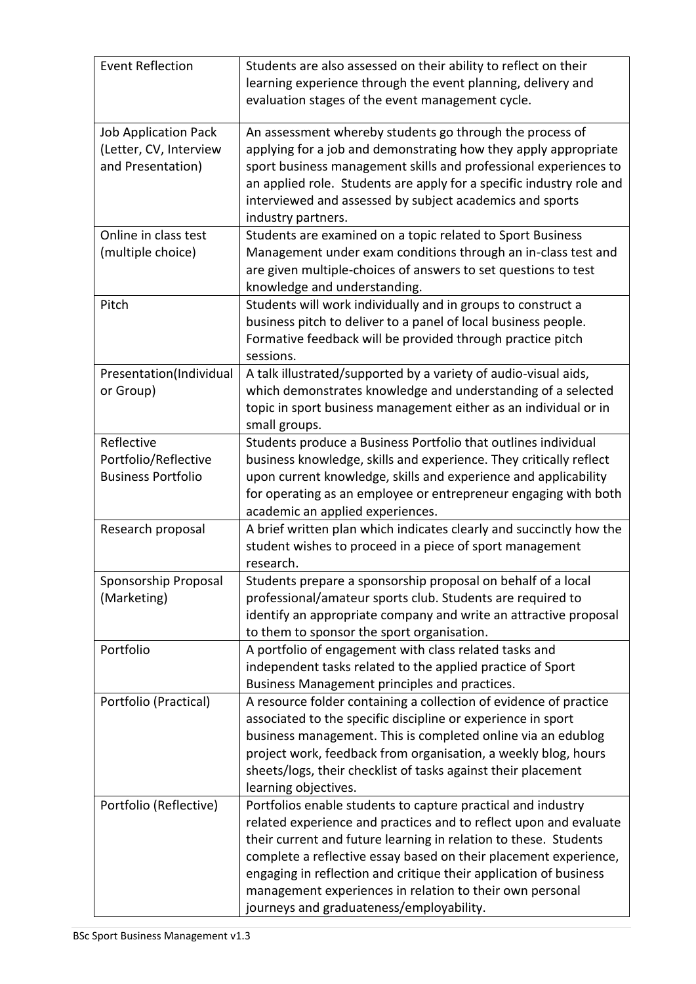| <b>Event Reflection</b>                                                    | Students are also assessed on their ability to reflect on their<br>learning experience through the event planning, delivery and<br>evaluation stages of the event management cycle.                                                                                                                                                                                                                                                                    |
|----------------------------------------------------------------------------|--------------------------------------------------------------------------------------------------------------------------------------------------------------------------------------------------------------------------------------------------------------------------------------------------------------------------------------------------------------------------------------------------------------------------------------------------------|
| <b>Job Application Pack</b><br>(Letter, CV, Interview<br>and Presentation) | An assessment whereby students go through the process of<br>applying for a job and demonstrating how they apply appropriate<br>sport business management skills and professional experiences to<br>an applied role. Students are apply for a specific industry role and<br>interviewed and assessed by subject academics and sports<br>industry partners.                                                                                              |
| Online in class test<br>(multiple choice)                                  | Students are examined on a topic related to Sport Business<br>Management under exam conditions through an in-class test and<br>are given multiple-choices of answers to set questions to test<br>knowledge and understanding.                                                                                                                                                                                                                          |
| Pitch                                                                      | Students will work individually and in groups to construct a<br>business pitch to deliver to a panel of local business people.<br>Formative feedback will be provided through practice pitch<br>sessions.                                                                                                                                                                                                                                              |
| Presentation(Individual<br>or Group)                                       | A talk illustrated/supported by a variety of audio-visual aids,<br>which demonstrates knowledge and understanding of a selected<br>topic in sport business management either as an individual or in<br>small groups.                                                                                                                                                                                                                                   |
| Reflective<br>Portfolio/Reflective<br><b>Business Portfolio</b>            | Students produce a Business Portfolio that outlines individual<br>business knowledge, skills and experience. They critically reflect<br>upon current knowledge, skills and experience and applicability<br>for operating as an employee or entrepreneur engaging with both<br>academic an applied experiences.                                                                                                                                         |
| Research proposal                                                          | A brief written plan which indicates clearly and succinctly how the<br>student wishes to proceed in a piece of sport management<br>research.                                                                                                                                                                                                                                                                                                           |
| Sponsorship Proposal<br>(Marketing)                                        | Students prepare a sponsorship proposal on behalf of a local<br>professional/amateur sports club. Students are required to<br>identify an appropriate company and write an attractive proposal<br>to them to sponsor the sport organisation.                                                                                                                                                                                                           |
| Portfolio                                                                  | A portfolio of engagement with class related tasks and<br>independent tasks related to the applied practice of Sport<br>Business Management principles and practices.                                                                                                                                                                                                                                                                                  |
| Portfolio (Practical)                                                      | A resource folder containing a collection of evidence of practice<br>associated to the specific discipline or experience in sport<br>business management. This is completed online via an edublog<br>project work, feedback from organisation, a weekly blog, hours<br>sheets/logs, their checklist of tasks against their placement<br>learning objectives.                                                                                           |
| Portfolio (Reflective)                                                     | Portfolios enable students to capture practical and industry<br>related experience and practices and to reflect upon and evaluate<br>their current and future learning in relation to these. Students<br>complete a reflective essay based on their placement experience,<br>engaging in reflection and critique their application of business<br>management experiences in relation to their own personal<br>journeys and graduateness/employability. |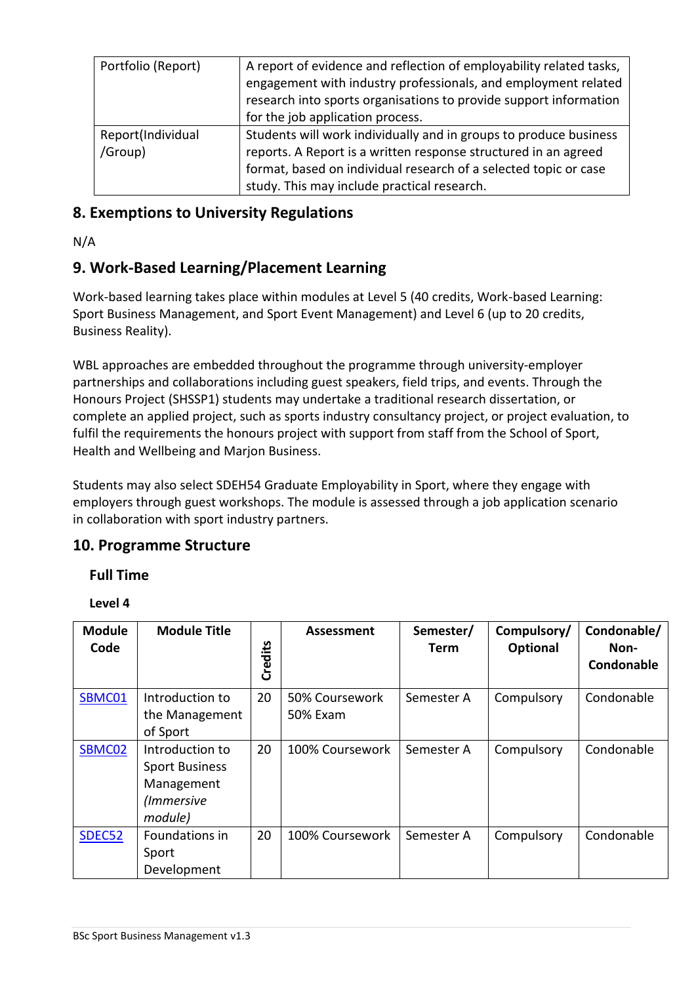| Portfolio (Report)           | A report of evidence and reflection of employability related tasks,<br>engagement with industry professionals, and employment related<br>research into sports organisations to provide support information<br>for the job application process.          |
|------------------------------|---------------------------------------------------------------------------------------------------------------------------------------------------------------------------------------------------------------------------------------------------------|
| Report(Individual<br>/Group) | Students will work individually and in groups to produce business<br>reports. A Report is a written response structured in an agreed<br>format, based on individual research of a selected topic or case<br>study. This may include practical research. |

### **8. Exemptions to University Regulations**

N/A

# **9. Work-Based Learning/Placement Learning**

Work-based learning takes place within modules at Level 5 (40 credits, Work-based Learning: Sport Business Management, and Sport Event Management) and Level 6 (up to 20 credits, Business Reality).

WBL approaches are embedded throughout the programme through university-employer partnerships and collaborations including guest speakers, field trips, and events. Through the Honours Project (SHSSP1) students may undertake a traditional research dissertation, or complete an applied project, such as sports industry consultancy project, or project evaluation, to fulfil the requirements the honours project with support from staff from the School of Sport, Health and Wellbeing and Marjon Business.

Students may also select SDEH54 Graduate Employability in Sport, where they engage with employers through guest workshops. The module is assessed through a job application scenario in collaboration with sport industry partners.

# **10. Programme Structure**

### **Full Time**

**Level 4**

| <b>Module</b><br>Code | <b>Module Title</b>                                                             | Credits | <b>Assessment</b>          | Semester/<br><b>Term</b> | Compulsory/<br>Optional | Condonable/<br>Non-<br>Condonable |
|-----------------------|---------------------------------------------------------------------------------|---------|----------------------------|--------------------------|-------------------------|-----------------------------------|
| SBMC01                | Introduction to<br>the Management<br>of Sport                                   | 20      | 50% Coursework<br>50% Exam | Semester A               | Compulsory              | Condonable                        |
| SBMC02                | Introduction to<br><b>Sport Business</b><br>Management<br>(Immersive<br>module) | 20      | 100% Coursework            | Semester A               | Compulsory              | Condonable                        |
| SDEC52                | Foundations in<br>Sport<br>Development                                          | 20      | 100% Coursework            | Semester A               | Compulsory              | Condonable                        |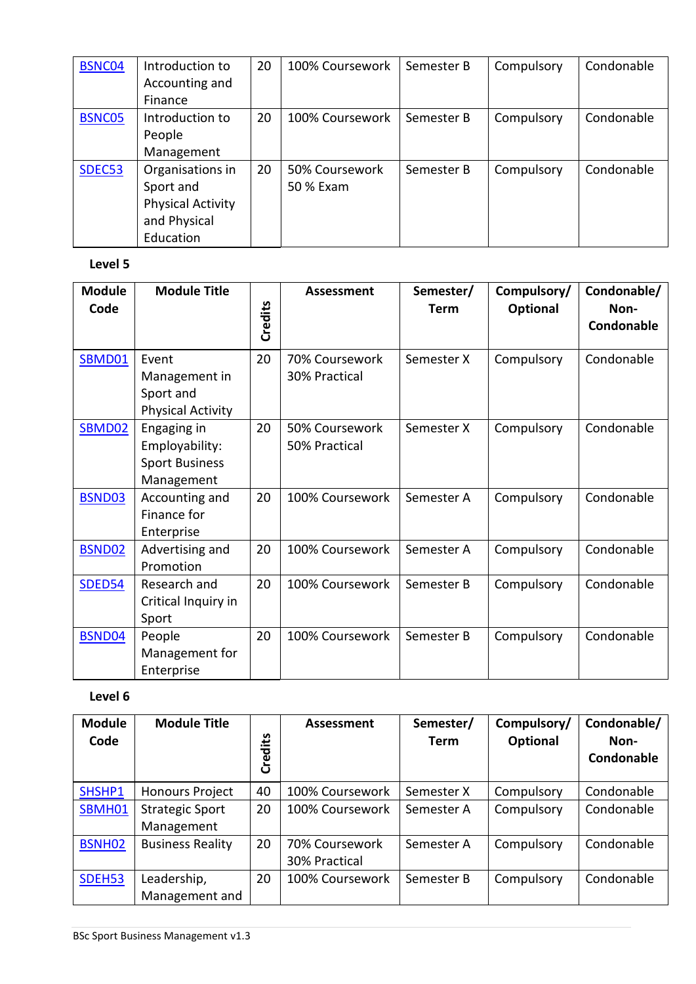| BSNC04 | Introduction to          | 20 | 100% Coursework | Semester B | Compulsory | Condonable |
|--------|--------------------------|----|-----------------|------------|------------|------------|
|        | Accounting and           |    |                 |            |            |            |
|        | Finance                  |    |                 |            |            |            |
| BSNC05 | Introduction to          | 20 | 100% Coursework | Semester B | Compulsory | Condonable |
|        | People                   |    |                 |            |            |            |
|        | Management               |    |                 |            |            |            |
| SDEC53 | Organisations in         | 20 | 50% Coursework  | Semester B | Compulsory | Condonable |
|        | Sport and                |    | 50 % Exam       |            |            |            |
|        | <b>Physical Activity</b> |    |                 |            |            |            |
|        | and Physical             |    |                 |            |            |            |
|        | Education                |    |                 |            |            |            |

#### **Level 5**

| <b>Module</b><br>Code | <b>Module Title</b>                                                  | Credits | Assessment                      | Semester/<br><b>Term</b> | Compulsory/<br>Optional | Condonable/<br>Non-<br>Condonable |
|-----------------------|----------------------------------------------------------------------|---------|---------------------------------|--------------------------|-------------------------|-----------------------------------|
| SBMD01                | Event<br>Management in<br>Sport and<br><b>Physical Activity</b>      | 20      | 70% Coursework<br>30% Practical | Semester X               | Compulsory              | Condonable                        |
| SBMD02                | Engaging in<br>Employability:<br><b>Sport Business</b><br>Management | 20      | 50% Coursework<br>50% Practical | Semester X               | Compulsory              | Condonable                        |
| BSND03                | Accounting and<br>Finance for<br>Enterprise                          | 20      | 100% Coursework                 | Semester A               | Compulsory              | Condonable                        |
| BSND02                | Advertising and<br>Promotion                                         | 20      | 100% Coursework                 | Semester A               | Compulsory              | Condonable                        |
| SDED54                | Research and<br>Critical Inquiry in<br>Sport                         | 20      | 100% Coursework                 | Semester B               | Compulsory              | Condonable                        |
| BSND04                | People<br>Management for<br>Enterprise                               | 20      | 100% Coursework                 | Semester B               | Compulsory              | Condonable                        |

### **Level 6**

| <b>Module</b><br>Code | <b>Module Title</b>     | <u>يم</u><br>Credi | Assessment      | Semester/<br><b>Term</b> | Compulsory/<br>Optional | Condonable/<br>Non-<br>Condonable |
|-----------------------|-------------------------|--------------------|-----------------|--------------------------|-------------------------|-----------------------------------|
| SHSHP1                | <b>Honours Project</b>  | 40                 | 100% Coursework | Semester X               | Compulsory              | Condonable                        |
| SBMH01                | <b>Strategic Sport</b>  | 20                 | 100% Coursework | Semester A               | Compulsory              | Condonable                        |
|                       | Management              |                    |                 |                          |                         |                                   |
| BSNH <sub>02</sub>    | <b>Business Reality</b> | 20                 | 70% Coursework  | Semester A               | Compulsory              | Condonable                        |
|                       |                         |                    | 30% Practical   |                          |                         |                                   |
| SDEH53                | Leadership,             | 20                 | 100% Coursework | Semester B               | Compulsory              | Condonable                        |
|                       | Management and          |                    |                 |                          |                         |                                   |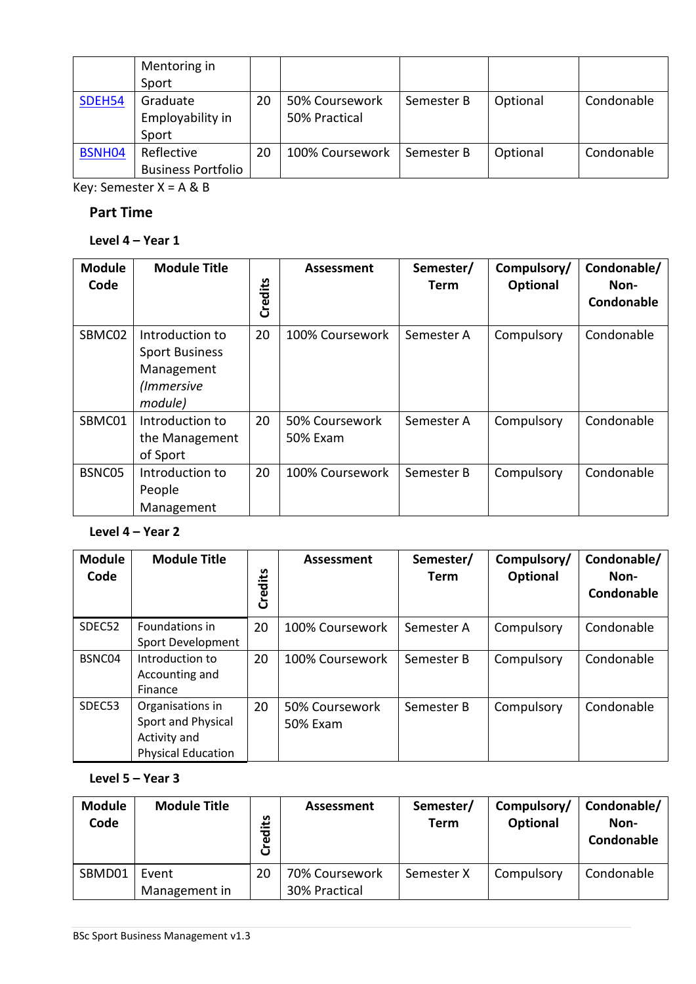|        | Mentoring in              |    |                 |            |          |            |
|--------|---------------------------|----|-----------------|------------|----------|------------|
|        | Sport                     |    |                 |            |          |            |
| SDEH54 | Graduate                  | 20 | 50% Coursework  | Semester B | Optional | Condonable |
|        | Employability in          |    | 50% Practical   |            |          |            |
|        | Sport                     |    |                 |            |          |            |
| BSNH04 | Reflective                | 20 | 100% Coursework | Semester B | Optional | Condonable |
|        | <b>Business Portfolio</b> |    |                 |            |          |            |

Key: Semester X = A & B

#### **Part Time**

### **Level 4 – Year 1**

| <b>Module</b><br>Code | <b>Module Title</b>                                                             | Credits | Assessment                 | Semester/<br><b>Term</b> | Compulsory/<br>Optional | Condonable/<br>Non-<br>Condonable |
|-----------------------|---------------------------------------------------------------------------------|---------|----------------------------|--------------------------|-------------------------|-----------------------------------|
| SBMC02                | Introduction to<br><b>Sport Business</b><br>Management<br>(Immersive<br>module) | 20      | 100% Coursework            | Semester A               | Compulsory              | Condonable                        |
| SBMC01                | Introduction to<br>the Management<br>of Sport                                   | 20      | 50% Coursework<br>50% Exam | Semester A               | Compulsory              | Condonable                        |
| BSNC05                | Introduction to<br>People<br>Management                                         | 20      | 100% Coursework            | Semester B               | Compulsory              | Condonable                        |

### **Level 4 – Year 2**

| <b>Module</b><br>Code | <b>Module Title</b>                                                                 | Credits | Assessment                 | Semester/<br><b>Term</b> | Compulsory/<br>Optional | Condonable/<br>Non-<br>Condonable |
|-----------------------|-------------------------------------------------------------------------------------|---------|----------------------------|--------------------------|-------------------------|-----------------------------------|
| SDEC52                | Foundations in<br>Sport Development                                                 | 20      | 100% Coursework            | Semester A               | Compulsory              | Condonable                        |
| BSNC04                | Introduction to<br>Accounting and<br>Finance                                        | 20      | 100% Coursework            | Semester B               | Compulsory              | Condonable                        |
| SDEC53                | Organisations in<br>Sport and Physical<br>Activity and<br><b>Physical Education</b> | 20      | 50% Coursework<br>50% Exam | Semester B               | Compulsory              | Condonable                        |

#### **Level 5 – Year 3**

| <b>Module</b><br>Code | <b>Module Title</b> | مّ±.<br>ಕ್ಷ<br>ပ | Assessment     | Semester/<br><b>Term</b> | Compulsory/<br>Optional | Condonable/<br>Non-<br>Condonable |
|-----------------------|---------------------|------------------|----------------|--------------------------|-------------------------|-----------------------------------|
| SBMD01                | Event               | 20               | 70% Coursework | Semester X               | Compulsory              | Condonable                        |
|                       | Management in       |                  | 30% Practical  |                          |                         |                                   |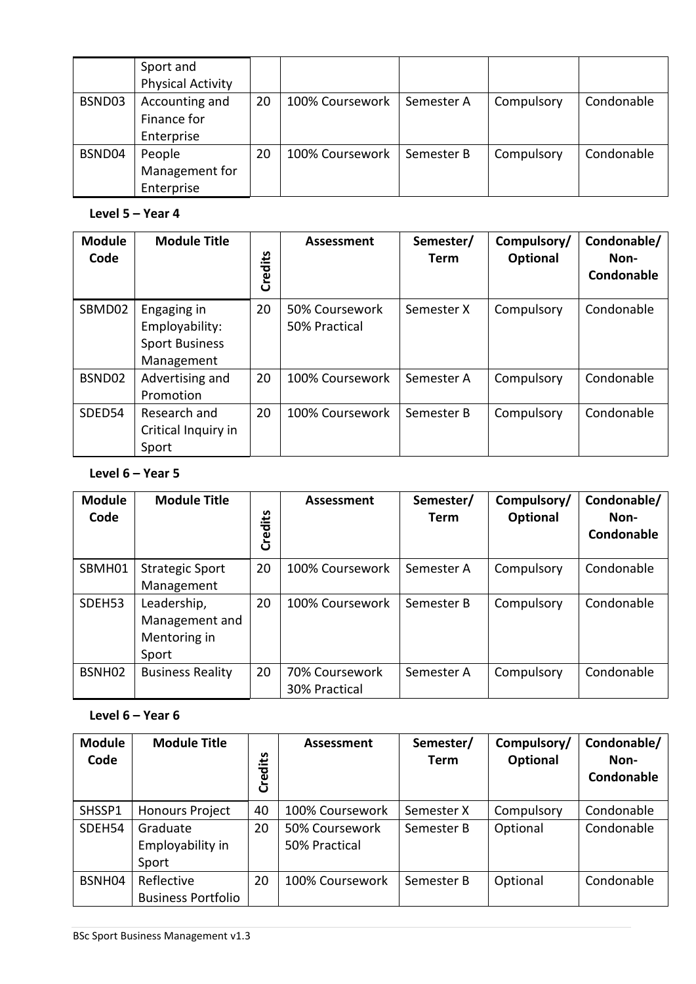|        | Sport and<br><b>Physical Activity</b>       |    |                 |            |            |            |
|--------|---------------------------------------------|----|-----------------|------------|------------|------------|
| BSND03 | Accounting and<br>Finance for<br>Enterprise | 20 | 100% Coursework | Semester A | Compulsory | Condonable |
| BSND04 | People<br>Management for<br>Enterprise      | 20 | 100% Coursework | Semester B | Compulsory | Condonable |

#### **Level 5 – Year 4**

| <b>Module</b><br>Code | <b>Module Title</b>                                                  | Credits | Assessment                      | Semester/<br><b>Term</b> | Compulsory/<br>Optional | Condonable/<br>Non-<br>Condonable |
|-----------------------|----------------------------------------------------------------------|---------|---------------------------------|--------------------------|-------------------------|-----------------------------------|
| SBMD02                | Engaging in<br>Employability:<br><b>Sport Business</b><br>Management | 20      | 50% Coursework<br>50% Practical | Semester X               | Compulsory              | Condonable                        |
| BSND02                | Advertising and<br>Promotion                                         | 20      | 100% Coursework                 | Semester A               | Compulsory              | Condonable                        |
| SDED54                | Research and<br>Critical Inquiry in<br>Sport                         | 20      | 100% Coursework                 | Semester B               | Compulsory              | Condonable                        |

#### **Level 6 – Year 5**

| <b>Module</b><br>Code | <b>Module Title</b>                                    | Credits | <b>Assessment</b>               | Semester/<br><b>Term</b> | Compulsory/<br><b>Optional</b> | Condonable/<br>Non-<br>Condonable |
|-----------------------|--------------------------------------------------------|---------|---------------------------------|--------------------------|--------------------------------|-----------------------------------|
| SBMH01                | <b>Strategic Sport</b><br>Management                   | 20      | 100% Coursework                 | Semester A               | Compulsory                     | Condonable                        |
| SDEH <sub>53</sub>    | Leadership,<br>Management and<br>Mentoring in<br>Sport | 20      | 100% Coursework                 | Semester B               | Compulsory                     | Condonable                        |
| BSNH <sub>02</sub>    | <b>Business Reality</b>                                | 20      | 70% Coursework<br>30% Practical | Semester A               | Compulsory                     | Condonable                        |

### **Level 6 – Year 6**

| <b>Module</b><br>Code | <b>Module Title</b>       | Credits | Assessment      | Semester/<br>Term | Compulsory/<br>Optional | Condonable/<br>Non-<br>Condonable |
|-----------------------|---------------------------|---------|-----------------|-------------------|-------------------------|-----------------------------------|
| SHSSP1                | <b>Honours Project</b>    | 40      | 100% Coursework | Semester X        | Compulsory              | Condonable                        |
| SDEH54                | Graduate                  | 20      | 50% Coursework  | Semester B        | Optional                | Condonable                        |
|                       | Employability in          |         | 50% Practical   |                   |                         |                                   |
|                       | Sport                     |         |                 |                   |                         |                                   |
| BSNH04                | Reflective                | 20      | 100% Coursework | Semester B        | Optional                | Condonable                        |
|                       | <b>Business Portfolio</b> |         |                 |                   |                         |                                   |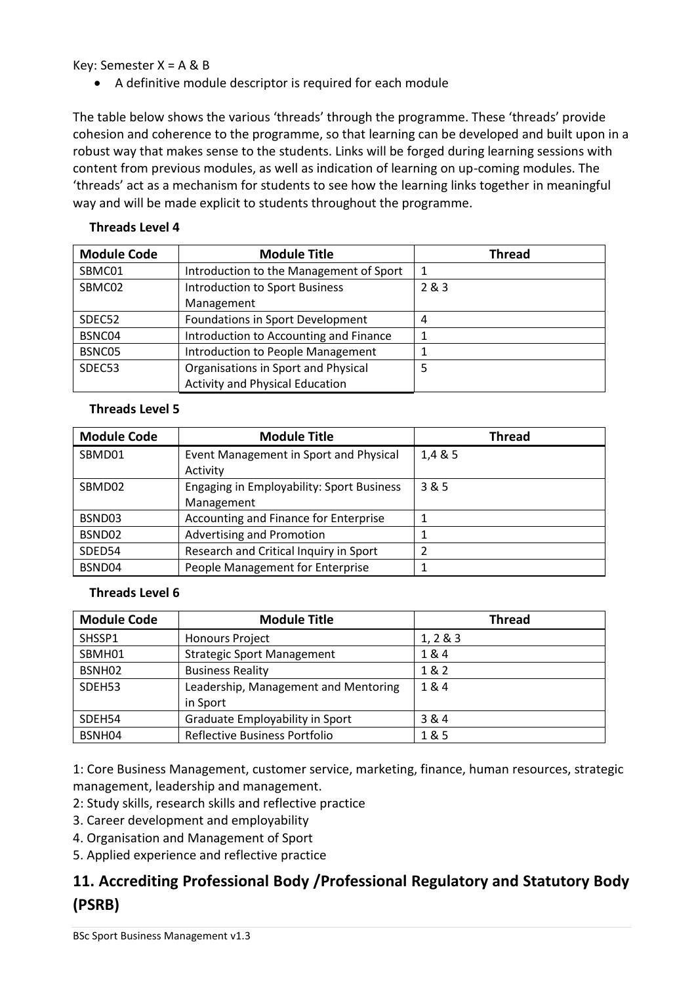#### Key: Semester  $X = A \& B$

• A definitive module descriptor is required for each module

The table below shows the various 'threads' through the programme. These 'threads' provide cohesion and coherence to the programme, so that learning can be developed and built upon in a robust way that makes sense to the students. Links will be forged during learning sessions with content from previous modules, as well as indication of learning on up-coming modules. The 'threads' act as a mechanism for students to see how the learning links together in meaningful way and will be made explicit to students throughout the programme.

| <b>Module Code</b> | <b>Module Title</b>                      | <b>Thread</b> |
|--------------------|------------------------------------------|---------------|
| SBMC01             | Introduction to the Management of Sport  |               |
| SBMC02             | <b>Introduction to Sport Business</b>    | 2 & 3         |
|                    | Management                               |               |
| SDEC52             | Foundations in Sport Development         | 4             |
| BSNC04             | Introduction to Accounting and Finance   |               |
| BSNC05             | <b>Introduction to People Management</b> |               |
| SDEC53             | Organisations in Sport and Physical      | 5             |
|                    | <b>Activity and Physical Education</b>   |               |

#### **Threads Level 4**

#### **Threads Level 5**

| <b>Module Code</b> | <b>Module Title</b>                       | <b>Thread</b> |
|--------------------|-------------------------------------------|---------------|
| SBMD01             | Event Management in Sport and Physical    | 1,4 & 5       |
|                    | Activity                                  |               |
| SBMD02             | Engaging in Employability: Sport Business | 3 & 5         |
|                    | Management                                |               |
| BSND03             | Accounting and Finance for Enterprise     |               |
| BSND02             | Advertising and Promotion                 |               |
| SDED54             | Research and Critical Inquiry in Sport    |               |
| BSND04             | People Management for Enterprise          |               |

#### **Threads Level 6**

| <b>Module Code</b> | <b>Module Title</b>                  | <b>Thread</b> |
|--------------------|--------------------------------------|---------------|
| SHSSP1             | <b>Honours Project</b>               | 1, 2 & 8 & 3  |
| SBMH01             | <b>Strategic Sport Management</b>    | 1&4           |
| BSNH <sub>02</sub> | <b>Business Reality</b>              | 1&2           |
| SDEH53             | Leadership, Management and Mentoring | 1&4           |
|                    | in Sport                             |               |
| SDEH54             | Graduate Employability in Sport      | 3 & 4         |
| BSNH04             | Reflective Business Portfolio        | 1 & 5         |

1: Core Business Management, customer service, marketing, finance, human resources, strategic management, leadership and management.

- 2: Study skills, research skills and reflective practice
- 3. Career development and employability
- 4. Organisation and Management of Sport
- 5. Applied experience and reflective practice

# **11. Accrediting Professional Body /Professional Regulatory and Statutory Body (PSRB)**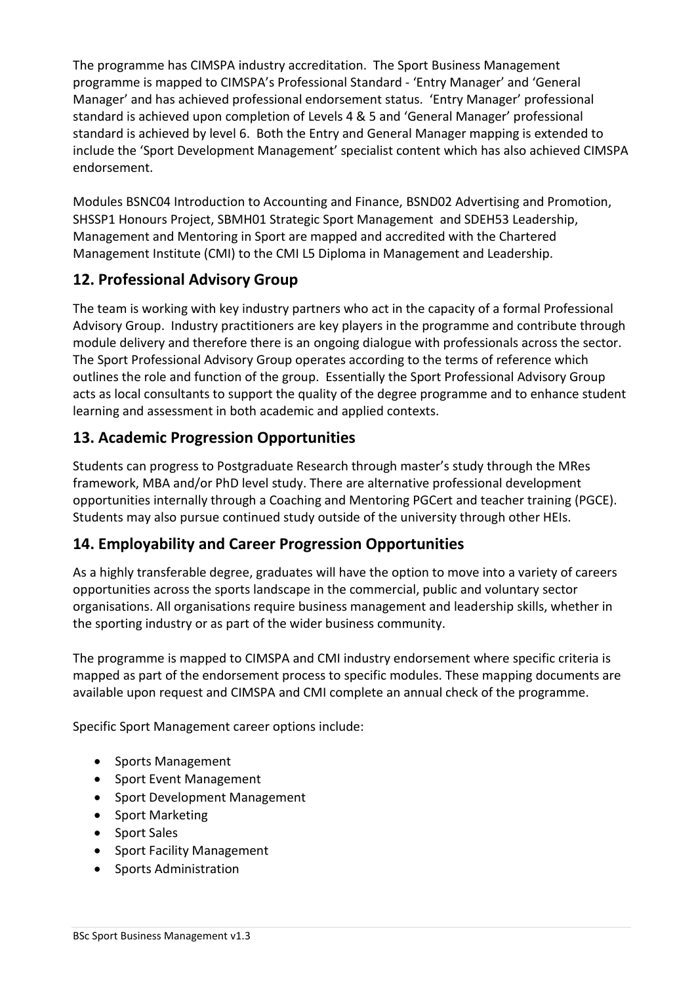The programme has CIMSPA industry accreditation. The Sport Business Management programme is mapped to CIMSPA's Professional Standard - 'Entry Manager' and 'General Manager' and has achieved professional endorsement status. 'Entry Manager' professional standard is achieved upon completion of Levels 4 & 5 and 'General Manager' professional standard is achieved by level 6. Both the Entry and General Manager mapping is extended to include the 'Sport Development Management' specialist content which has also achieved CIMSPA endorsement.

Modules BSNC04 Introduction to Accounting and Finance, BSND02 Advertising and Promotion, SHSSP1 Honours Project, SBMH01 Strategic Sport Management and SDEH53 Leadership, Management and Mentoring in Sport are mapped and accredited with the Chartered Management Institute (CMI) to the CMI L5 Diploma in Management and Leadership.

# **12. Professional Advisory Group**

The team is working with key industry partners who act in the capacity of a formal Professional Advisory Group. Industry practitioners are key players in the programme and contribute through module delivery and therefore there is an ongoing dialogue with professionals across the sector. The Sport Professional Advisory Group operates according to the terms of reference which outlines the role and function of the group. Essentially the Sport Professional Advisory Group acts as local consultants to support the quality of the degree programme and to enhance student learning and assessment in both academic and applied contexts.

# **13. Academic Progression Opportunities**

Students can progress to Postgraduate Research through master's study through the MRes framework, MBA and/or PhD level study. There are alternative professional development opportunities internally through a Coaching and Mentoring PGCert and teacher training (PGCE). Students may also pursue continued study outside of the university through other HEIs.

# **14. Employability and Career Progression Opportunities**

As a highly transferable degree, graduates will have the option to move into a variety of careers opportunities across the sports landscape in the commercial, public and voluntary sector organisations. All organisations require business management and leadership skills, whether in the sporting industry or as part of the wider business community.

The programme is mapped to CIMSPA and CMI industry endorsement where specific criteria is mapped as part of the endorsement process to specific modules. These mapping documents are available upon request and CIMSPA and CMI complete an annual check of the programme.

Specific Sport Management career options include:

- Sports Management
- Sport Event Management
- Sport Development Management
- Sport Marketing
- Sport Sales
- Sport Facility Management
- Sports Administration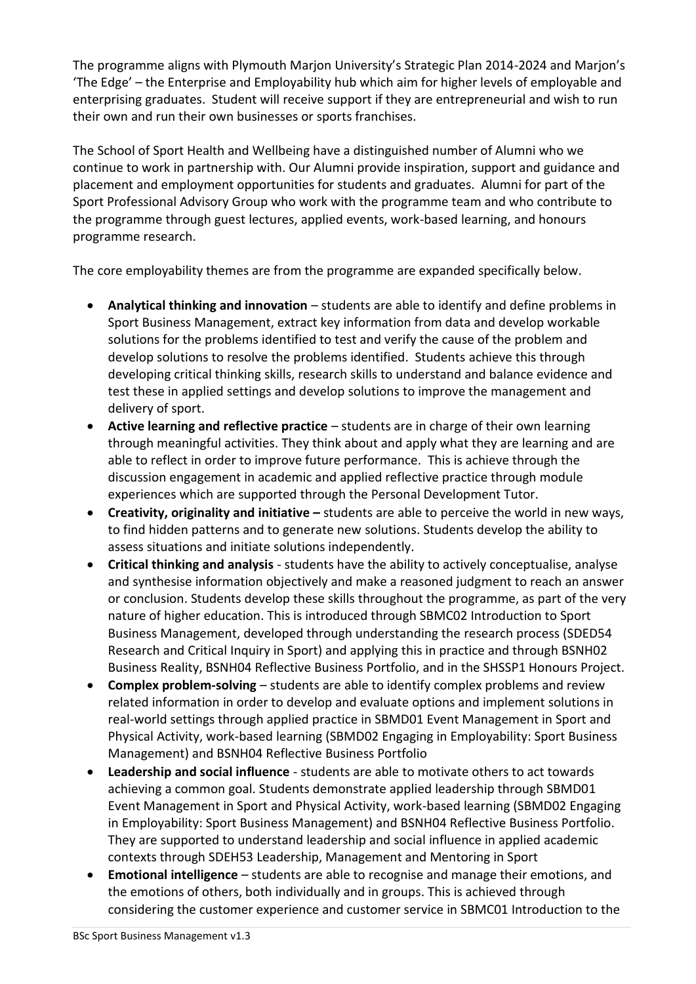The programme aligns with Plymouth Marjon University's Strategic Plan 2014-2024 and Marjon's 'The Edge' – the Enterprise and Employability hub which aim for higher levels of employable and enterprising graduates. Student will receive support if they are entrepreneurial and wish to run their own and run their own businesses or sports franchises.

The School of Sport Health and Wellbeing have a distinguished number of Alumni who we continue to work in partnership with. Our Alumni provide inspiration, support and guidance and placement and employment opportunities for students and graduates. Alumni for part of the Sport Professional Advisory Group who work with the programme team and who contribute to the programme through guest lectures, applied events, work-based learning, and honours programme research.

The core employability themes are from the programme are expanded specifically below.

- **Analytical thinking and innovation** students are able to identify and define problems in Sport Business Management, extract key information from data and develop workable solutions for the problems identified to test and verify the cause of the problem and develop solutions to resolve the problems identified. Students achieve this through developing critical thinking skills, research skills to understand and balance evidence and test these in applied settings and develop solutions to improve the management and delivery of sport.
- **Active learning and reflective practice** students are in charge of their own learning through meaningful activities. They think about and apply what they are learning and are able to reflect in order to improve future performance. This is achieve through the discussion engagement in academic and applied reflective practice through module experiences which are supported through the Personal Development Tutor.
- **Creativity, originality and initiative –** students are able to perceive the world in new ways, to find hidden patterns and to generate new solutions. Students develop the ability to assess situations and initiate solutions independently.
- **Critical thinking and analysis** students have the ability to actively conceptualise, analyse and synthesise information objectively and make a reasoned judgment to reach an answer or conclusion. Students develop these skills throughout the programme, as part of the very nature of higher education. This is introduced through SBMC02 Introduction to Sport Business Management, developed through understanding the research process (SDED54 Research and Critical Inquiry in Sport) and applying this in practice and through BSNH02 Business Reality, BSNH04 Reflective Business Portfolio, and in the SHSSP1 Honours Project.
- **Complex problem-solving** students are able to identify complex problems and review related information in order to develop and evaluate options and implement solutions in real-world settings through applied practice in SBMD01 Event Management in Sport and Physical Activity, work-based learning (SBMD02 Engaging in Employability: Sport Business Management) and BSNH04 Reflective Business Portfolio
- **Leadership and social influence** students are able to motivate others to act towards achieving a common goal. Students demonstrate applied leadership through SBMD01 Event Management in Sport and Physical Activity, work-based learning (SBMD02 Engaging in Employability: Sport Business Management) and BSNH04 Reflective Business Portfolio. They are supported to understand leadership and social influence in applied academic contexts through SDEH53 Leadership, Management and Mentoring in Sport
- **Emotional intelligence** students are able to recognise and manage their emotions, and the emotions of others, both individually and in groups. This is achieved through considering the customer experience and customer service in SBMC01 Introduction to the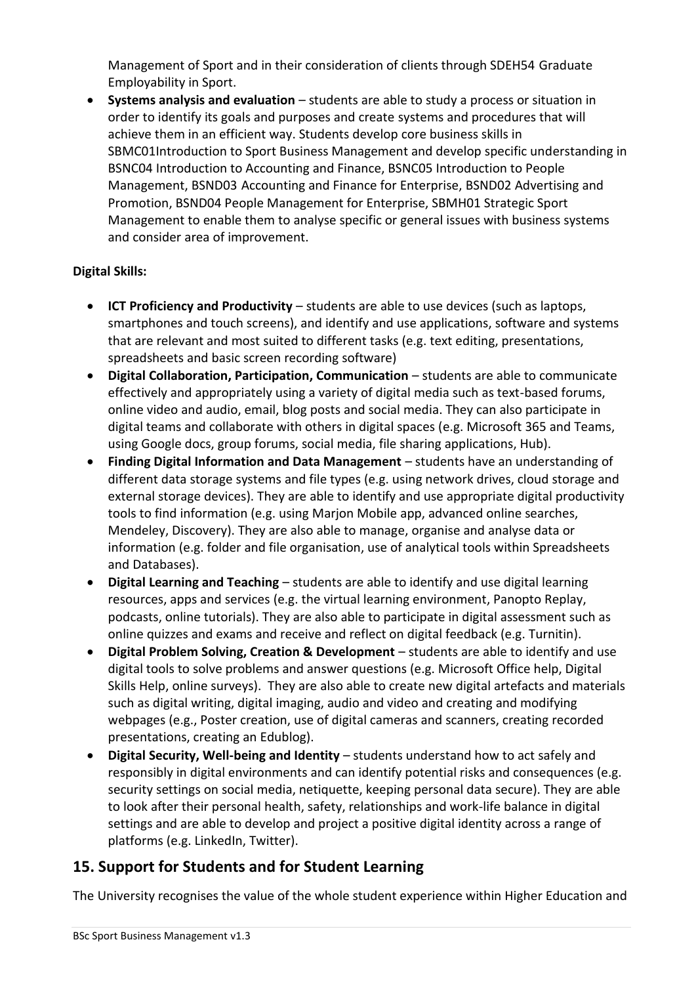Management of Sport and in their consideration of clients through SDEH54 Graduate Employability in Sport.

• **Systems analysis and evaluation** – students are able to study a process or situation in order to identify its goals and purposes and create systems and procedures that will achieve them in an efficient way. Students develop core business skills in SBMC01Introduction to Sport Business Management and develop specific understanding in BSNC04 Introduction to Accounting and Finance, BSNC05 Introduction to People Management, BSND03 Accounting and Finance for Enterprise, BSND02 Advertising and Promotion, BSND04 People Management for Enterprise, SBMH01 Strategic Sport Management to enable them to analyse specific or general issues with business systems and consider area of improvement.

#### **Digital Skills:**

- **ICT Proficiency and Productivity** students are able to use devices (such as laptops, smartphones and touch screens), and identify and use applications, software and systems that are relevant and most suited to different tasks (e.g. text editing, presentations, spreadsheets and basic screen recording software)
- **Digital Collaboration, Participation, Communication** students are able to communicate effectively and appropriately using a variety of digital media such as text-based forums, online video and audio, email, blog posts and social media. They can also participate in digital teams and collaborate with others in digital spaces (e.g. Microsoft 365 and Teams, using Google docs, group forums, social media, file sharing applications, Hub).
- **Finding Digital Information and Data Management** students have an understanding of different data storage systems and file types (e.g. using network drives, cloud storage and external storage devices). They are able to identify and use appropriate digital productivity tools to find information (e.g. using Marjon Mobile app, advanced online searches, Mendeley, Discovery). They are also able to manage, organise and analyse data or information (e.g. folder and file organisation, use of analytical tools within Spreadsheets and Databases).
- **Digital Learning and Teaching** students are able to identify and use digital learning resources, apps and services (e.g. the virtual learning environment, Panopto Replay, podcasts, online tutorials). They are also able to participate in digital assessment such as online quizzes and exams and receive and reflect on digital feedback (e.g. Turnitin).
- **Digital Problem Solving, Creation & Development** students are able to identify and use digital tools to solve problems and answer questions (e.g. Microsoft Office help, Digital Skills Help, online surveys). They are also able to create new digital artefacts and materials such as digital writing, digital imaging, audio and video and creating and modifying webpages (e.g., Poster creation, use of digital cameras and scanners, creating recorded presentations, creating an Edublog).
- **Digital Security, Well-being and Identity** students understand how to act safely and responsibly in digital environments and can identify potential risks and consequences (e.g. security settings on social media, netiquette, keeping personal data secure). They are able to look after their personal health, safety, relationships and work-life balance in digital settings and are able to develop and project a positive digital identity across a range of platforms (e.g. LinkedIn, Twitter).

# **15. Support for Students and for Student Learning**

The University recognises the value of the whole student experience within Higher Education and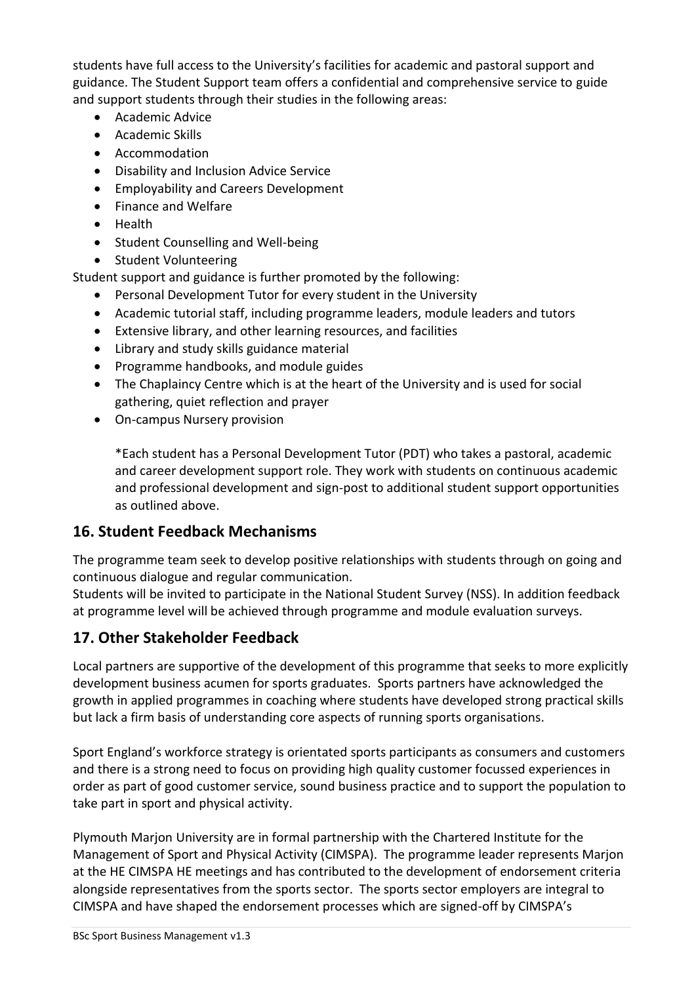students have full access to the University's facilities for academic and pastoral support and guidance. The Student Support team offers a confidential and comprehensive service to guide and support students through their studies in the following areas:

- Academic Advice
- Academic Skills
- Accommodation
- Disability and Inclusion Advice Service
- Employability and Careers Development
- Finance and Welfare
- Health
- Student Counselling and Well-being
- Student Volunteering

Student support and guidance is further promoted by the following:

- Personal Development Tutor for every student in the University
- Academic tutorial staff, including programme leaders, module leaders and tutors
- Extensive library, and other learning resources, and facilities
- Library and study skills guidance material
- Programme handbooks, and module guides
- The Chaplaincy Centre which is at the heart of the University and is used for social gathering, quiet reflection and prayer
- On-campus Nursery provision

\*Each student has a Personal Development Tutor (PDT) who takes a pastoral, academic and career development support role. They work with students on continuous academic and professional development and sign-post to additional student support opportunities as outlined above.

### **16. Student Feedback Mechanisms**

The programme team seek to develop positive relationships with students through on going and continuous dialogue and regular communication.

Students will be invited to participate in the National Student Survey (NSS). In addition feedback at programme level will be achieved through programme and module evaluation surveys.

# **17. Other Stakeholder Feedback**

Local partners are supportive of the development of this programme that seeks to more explicitly development business acumen for sports graduates. Sports partners have acknowledged the growth in applied programmes in coaching where students have developed strong practical skills but lack a firm basis of understanding core aspects of running sports organisations.

Sport England's workforce strategy is orientated sports participants as consumers and customers and there is a strong need to focus on providing high quality customer focussed experiences in order as part of good customer service, sound business practice and to support the population to take part in sport and physical activity.

Plymouth Marjon University are in formal partnership with the Chartered Institute for the Management of Sport and Physical Activity (CIMSPA). The programme leader represents Marjon at the HE CIMSPA HE meetings and has contributed to the development of endorsement criteria alongside representatives from the sports sector. The sports sector employers are integral to CIMSPA and have shaped the endorsement processes which are signed-off by CIMSPA's